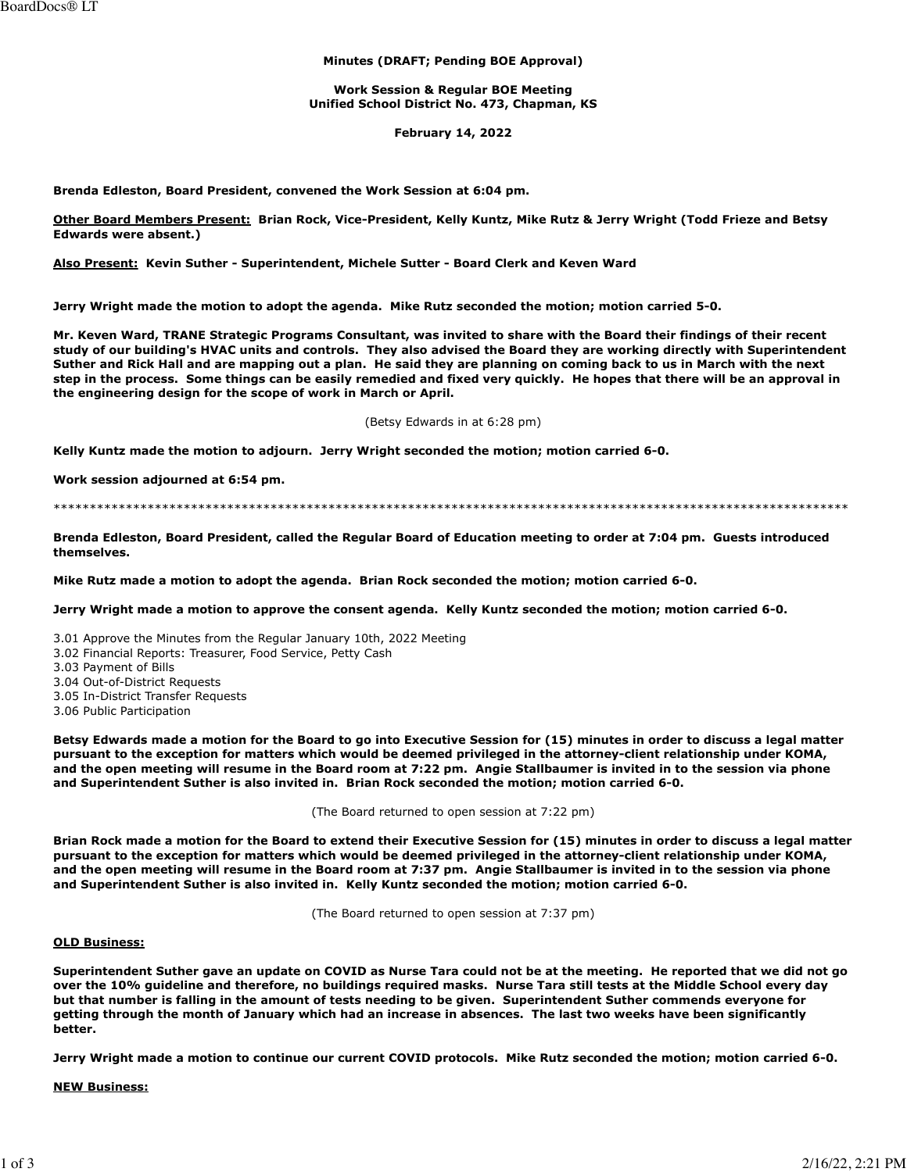#### **Minutes (DRAFT; Pending BOE Approval)**

**Work Session & Regular BOE Meeting Unified School District No. 473, Chapman, KS**

**February 14, 2022**

**Brenda Edleston, Board President, convened the Work Session at 6:04 pm.**

**Other Board Members Present: Brian Rock, Vice-President, Kelly Kuntz, Mike Rutz & Jerry Wright (Todd Frieze and Betsy Edwards were absent.)**

**Also Present: Kevin Suther - Superintendent, Michele Sutter - Board Clerk and Keven Ward**

**Jerry Wright made the motion to adopt the agenda. Mike Rutz seconded the motion; motion carried 5-0.**

**Mr. Keven Ward, TRANE Strategic Programs Consultant, was invited to share with the Board their findings of their recent study of our building's HVAC units and controls. They also advised the Board they are working directly with Superintendent Suther and Rick Hall and are mapping out a plan. He said they are planning on coming back to us in March with the next step in the process. Some things can be easily remedied and fixed very quickly. He hopes that there will be an approval in the engineering design for the scope of work in March or April.**

(Betsy Edwards in at 6:28 pm)

**Kelly Kuntz made the motion to adjourn. Jerry Wright seconded the motion; motion carried 6-0.**

**Work session adjourned at 6:54 pm.**

\*\*\*\*\*\*\*\*\*\*\*\*\*\*\*\*\*\*\*\*\*\*\*\*\*\*\*\*\*\*\*\*\*\*\*\*\*\*\*\*\*\*\*\*\*\*\*\*\*\*\*\*\*\*\*\*\*\*\*\*\*\*\*\*\*\*\*\*\*\*\*\*\*\*\*\*\*\*\*\*\*\*\*\*\*\*\*\*\*\*\*\*\*\*\*\*\*\*\*\*\*\*\*\*\*\*\*\*\*\*

**Brenda Edleston, Board President, called the Regular Board of Education meeting to order at 7:04 pm. Guests introduced themselves.**

**Mike Rutz made a motion to adopt the agenda. Brian Rock seconded the motion; motion carried 6-0.**

**Jerry Wright made a motion to approve the consent agenda. Kelly Kuntz seconded the motion; motion carried 6-0.**

3.01 Approve the Minutes from the Regular January 10th, 2022 Meeting

3.02 Financial Reports: Treasurer, Food Service, Petty Cash

3.03 Payment of Bills

3.04 Out-of-District Requests

3.05 In-District Transfer Requests

3.06 Public Participation

**Betsy Edwards made a motion for the Board to go into Executive Session for (15) minutes in order to discuss a legal matter pursuant to the exception for matters which would be deemed privileged in the attorney-client relationship under KOMA, and the open meeting will resume in the Board room at 7:22 pm. Angie Stallbaumer is invited in to the session via phone and Superintendent Suther is also invited in. Brian Rock seconded the motion; motion carried 6-0.**

(The Board returned to open session at 7:22 pm)

**Brian Rock made a motion for the Board to extend their Executive Session for (15) minutes in order to discuss a legal matter pursuant to the exception for matters which would be deemed privileged in the attorney-client relationship under KOMA, and the open meeting will resume in the Board room at 7:37 pm. Angie Stallbaumer is invited in to the session via phone and Superintendent Suther is also invited in. Kelly Kuntz seconded the motion; motion carried 6-0.**

(The Board returned to open session at 7:37 pm)

### **OLD Business:**

**Superintendent Suther gave an update on COVID as Nurse Tara could not be at the meeting. He reported that we did not go over the 10% guideline and therefore, no buildings required masks. Nurse Tara still tests at the Middle School every day but that number is falling in the amount of tests needing to be given. Superintendent Suther commends everyone for getting through the month of January which had an increase in absences. The last two weeks have been significantly better.**

**Jerry Wright made a motion to continue our current COVID protocols. Mike Rutz seconded the motion; motion carried 6-0.**

**NEW Business:**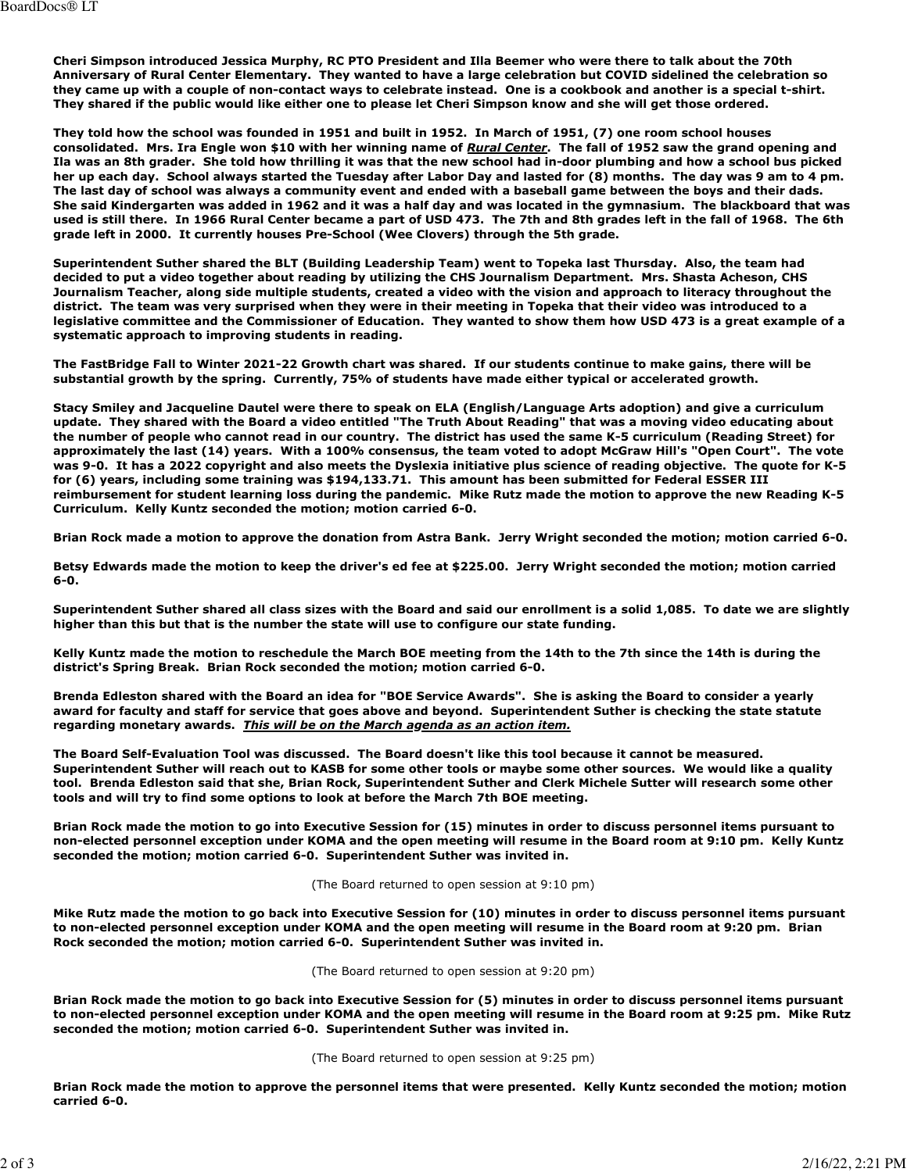**Cheri Simpson introduced Jessica Murphy, RC PTO President and Illa Beemer who were there to talk about the 70th Anniversary of Rural Center Elementary. They wanted to have a large celebration but COVID sidelined the celebration so they came up with a couple of non-contact ways to celebrate instead. One is a cookbook and another is a special t-shirt. They shared if the public would like either one to please let Cheri Simpson know and she will get those ordered.**

**They told how the school was founded in 1951 and built in 1952. In March of 1951, (7) one room school houses consolidated. Mrs. Ira Engle won \$10 with her winning name of** *Rural Center***. The fall of 1952 saw the grand opening and Ila was an 8th grader. She told how thrilling it was that the new school had in-door plumbing and how a school bus picked her up each day. School always started the Tuesday after Labor Day and lasted for (8) months. The day was 9 am to 4 pm. The last day of school was always a community event and ended with a baseball game between the boys and their dads. She said Kindergarten was added in 1962 and it was a half day and was located in the gymnasium. The blackboard that was used is still there. In 1966 Rural Center became a part of USD 473. The 7th and 8th grades left in the fall of 1968. The 6th grade left in 2000. It currently houses Pre-School (Wee Clovers) through the 5th grade.**

**Superintendent Suther shared the BLT (Building Leadership Team) went to Topeka last Thursday. Also, the team had decided to put a video together about reading by utilizing the CHS Journalism Department. Mrs. Shasta Acheson, CHS Journalism Teacher, along side multiple students, created a video with the vision and approach to literacy throughout the district. The team was very surprised when they were in their meeting in Topeka that their video was introduced to a legislative committee and the Commissioner of Education. They wanted to show them how USD 473 is a great example of a systematic approach to improving students in reading.**

**The FastBridge Fall to Winter 2021-22 Growth chart was shared. If our students continue to make gains, there will be substantial growth by the spring. Currently, 75% of students have made either typical or accelerated growth.**

**Stacy Smiley and Jacqueline Dautel were there to speak on ELA (English/Language Arts adoption) and give a curriculum update. They shared with the Board a video entitled "The Truth About Reading" that was a moving video educating about the number of people who cannot read in our country. The district has used the same K-5 curriculum (Reading Street) for approximately the last (14) years. With a 100% consensus, the team voted to adopt McGraw Hill's "Open Court". The vote was 9-0. It has a 2022 copyright and also meets the Dyslexia initiative plus science of reading objective. The quote for K-5 for (6) years, including some training was \$194,133.71. This amount has been submitted for Federal ESSER III reimbursement for student learning loss during the pandemic. Mike Rutz made the motion to approve the new Reading K-5 Curriculum. Kelly Kuntz seconded the motion; motion carried 6-0.**

**Brian Rock made a motion to approve the donation from Astra Bank. Jerry Wright seconded the motion; motion carried 6-0.**

**Betsy Edwards made the motion to keep the driver's ed fee at \$225.00. Jerry Wright seconded the motion; motion carried 6-0.**

**Superintendent Suther shared all class sizes with the Board and said our enrollment is a solid 1,085. To date we are slightly higher than this but that is the number the state will use to configure our state funding.** 

**Kelly Kuntz made the motion to reschedule the March BOE meeting from the 14th to the 7th since the 14th is during the district's Spring Break. Brian Rock seconded the motion; motion carried 6-0.**

**Brenda Edleston shared with the Board an idea for "BOE Service Awards". She is asking the Board to consider a yearly award for faculty and staff for service that goes above and beyond. Superintendent Suther is checking the state statute regarding monetary awards.** *This will be on the March agenda as an action item.*

**The Board Self-Evaluation Tool was discussed. The Board doesn't like this tool because it cannot be measured. Superintendent Suther will reach out to KASB for some other tools or maybe some other sources. We would like a quality tool. Brenda Edleston said that she, Brian Rock, Superintendent Suther and Clerk Michele Sutter will research some other tools and will try to find some options to look at before the March 7th BOE meeting.**

**Brian Rock made the motion to go into Executive Session for (15) minutes in order to discuss personnel items pursuant to non-elected personnel exception under KOMA and the open meeting will resume in the Board room at 9:10 pm. Kelly Kuntz seconded the motion; motion carried 6-0. Superintendent Suther was invited in.**

(The Board returned to open session at 9:10 pm)

**Mike Rutz made the motion to go back into Executive Session for (10) minutes in order to discuss personnel items pursuant to non-elected personnel exception under KOMA and the open meeting will resume in the Board room at 9:20 pm. Brian Rock seconded the motion; motion carried 6-0. Superintendent Suther was invited in.**

(The Board returned to open session at 9:20 pm)

**Brian Rock made the motion to go back into Executive Session for (5) minutes in order to discuss personnel items pursuant to non-elected personnel exception under KOMA and the open meeting will resume in the Board room at 9:25 pm. Mike Rutz seconded the motion; motion carried 6-0. Superintendent Suther was invited in.**

(The Board returned to open session at 9:25 pm)

**Brian Rock made the motion to approve the personnel items that were presented. Kelly Kuntz seconded the motion; motion carried 6-0.**